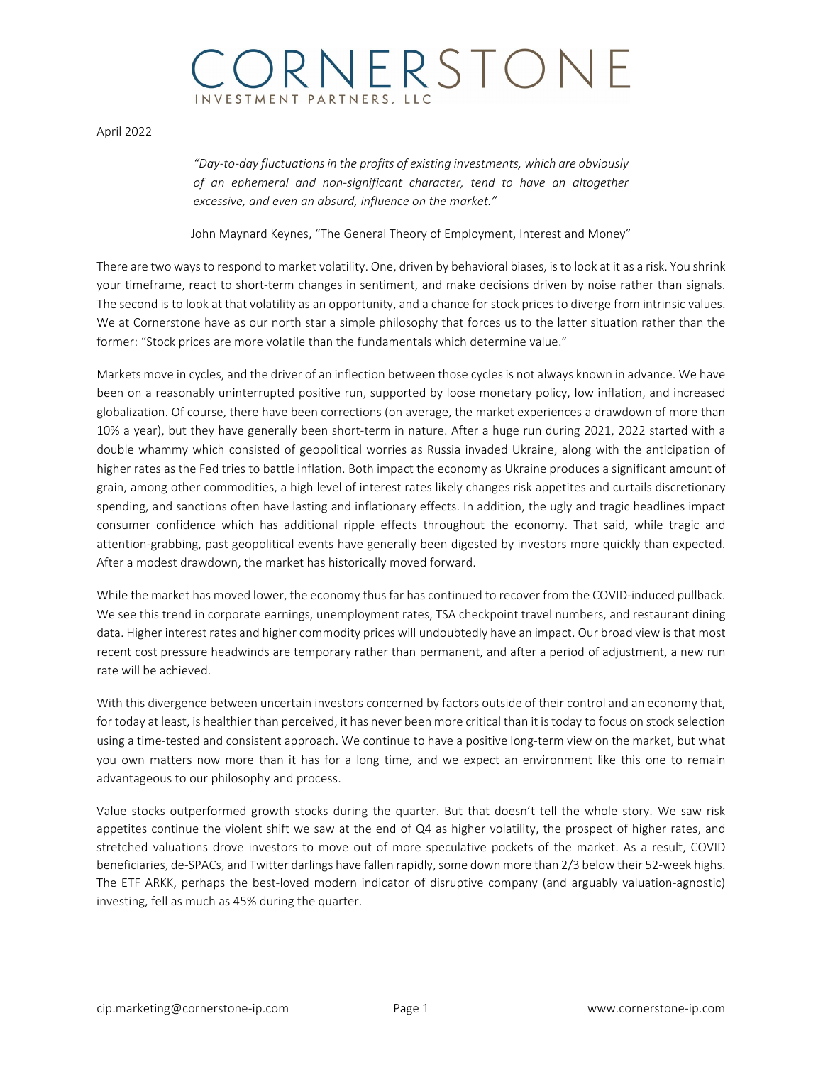## ORNERSTONE NVESTMENT PARTNERS, LLO

April 2022

*"Day-to-day fluctuations in the profits of existing investments, which are obviously of an ephemeral and non-significant character, tend to have an altogether excessive, and even an absurd, influence on the market."*

John Maynard Keynes, "The General Theory of Employment, Interest and Money"

There are two ways to respond to market volatility. One, driven by behavioral biases, is to look at it as a risk. You shrink your timeframe, react to short-term changes in sentiment, and make decisions driven by noise rather than signals. The second is to look at that volatility as an opportunity, and a chance for stock prices to diverge from intrinsic values. We at Cornerstone have as our north star a simple philosophy that forces us to the latter situation rather than the former: "Stock prices are more volatile than the fundamentals which determine value."

Markets move in cycles, and the driver of an inflection between those cyclesis not always known in advance. We have been on a reasonably uninterrupted positive run, supported by loose monetary policy, low inflation, and increased globalization. Of course, there have been corrections (on average, the market experiences a drawdown of more than 10% a year), but they have generally been short-term in nature. After a huge run during 2021, 2022 started with a double whammy which consisted of geopolitical worries as Russia invaded Ukraine, along with the anticipation of higher rates as the Fed tries to battle inflation. Both impact the economy as Ukraine produces a significant amount of grain, among other commodities, a high level of interest rates likely changes risk appetites and curtails discretionary spending, and sanctions often have lasting and inflationary effects. In addition, the ugly and tragic headlines impact consumer confidence which has additional ripple effects throughout the economy. That said, while tragic and attention-grabbing, past geopolitical events have generally been digested by investors more quickly than expected. After a modest drawdown, the market has historically moved forward.

While the market has moved lower, the economy thus far has continued to recover from the COVID-induced pullback. We see this trend in corporate earnings, unemployment rates, TSA checkpoint travel numbers, and restaurant dining data. Higher interest rates and higher commodity prices will undoubtedly have an impact. Our broad view is that most recent cost pressure headwinds are temporary rather than permanent, and after a period of adjustment, a new run rate will be achieved.

With this divergence between uncertain investors concerned by factors outside of their control and an economy that, for today at least, is healthier than perceived, it has never been more critical than it is today to focus on stock selection using a time-tested and consistent approach. We continue to have a positive long-term view on the market, but what you own matters now more than it has for a long time, and we expect an environment like this one to remain advantageous to our philosophy and process.

Value stocks outperformed growth stocks during the quarter. But that doesn't tell the whole story. We saw risk appetites continue the violent shift we saw at the end of Q4 as higher volatility, the prospect of higher rates, and stretched valuations drove investors to move out of more speculative pockets of the market. As a result, COVID beneficiaries, de-SPACs, and Twitter darlings have fallen rapidly, some down more than 2/3 below their 52-week highs. The ETF ARKK, perhaps the best-loved modern indicator of disruptive company (and arguably valuation-agnostic) investing, fell as much as 45% during the quarter.